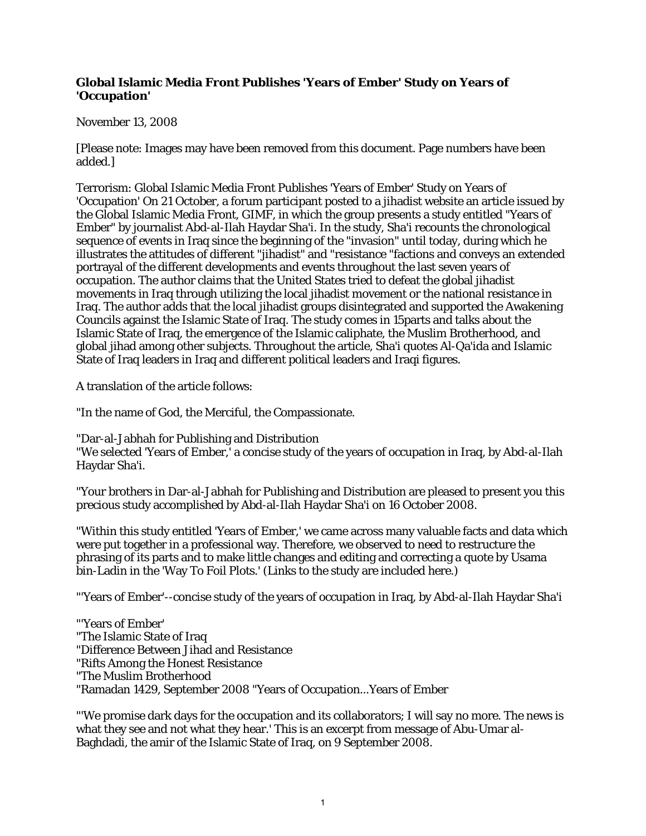## **Global Islamic Media Front Publishes 'Years of Ember' Study on Years of 'Occupation'**

## November 13, 2008

[Please note: Images may have been removed from this document. Page numbers have been added.]

Terrorism: Global Islamic Media Front Publishes 'Years of Ember' Study on Years of 'Occupation' On 21 October, a forum participant posted to a jihadist website an article issued by the Global Islamic Media Front, GIMF, in which the group presents a study entitled "Years of Ember" by journalist Abd-al-Ilah Haydar Sha'i. In the study, Sha'i recounts the chronological sequence of events in Iraq since the beginning of the "invasion" until today, during which he illustrates the attitudes of different "jihadist" and "resistance "factions and conveys an extended portrayal of the different developments and events throughout the last seven years of occupation. The author claims that the United States tried to defeat the global jihadist movements in Iraq through utilizing the local jihadist movement or the national resistance in Iraq. The author adds that the local jihadist groups disintegrated and supported the Awakening Councils against the Islamic State of Iraq. The study comes in 15parts and talks about the Islamic State of Iraq, the emergence of the Islamic caliphate, the Muslim Brotherhood, and global jihad among other subjects. Throughout the article, Sha'i quotes Al-Qa'ida and Islamic State of Iraq leaders in Iraq and different political leaders and Iraqi figures.

A translation of the article follows:

"In the name of God, the Merciful, the Compassionate.

"Dar-al-Jabhah for Publishing and Distribution

"We selected 'Years of Ember,' a concise study of the years of occupation in Iraq, by Abd-al-Ilah Haydar Sha'i.

"Your brothers in Dar-al-Jabhah for Publishing and Distribution are pleased to present you this precious study accomplished by Abd-al-Ilah Haydar Sha'i on 16 October 2008.

"Within this study entitled 'Years of Ember,' we came across many valuable facts and data which were put together in a professional way. Therefore, we observed to need to restructure the phrasing of its parts and to make little changes and editing and correcting a quote by Usama bin-Ladin in the 'Way To Foil Plots.' (Links to the study are included here.)

"'Years of Ember'--concise study of the years of occupation in Iraq, by Abd-al-Ilah Haydar Sha'i

"'Years of Ember' "The Islamic State of Iraq "Difference Between Jihad and Resistance "Rifts Among the Honest Resistance "The Muslim Brotherhood "Ramadan 1429, September 2008 "Years of Occupation...Years of Ember

"'We promise dark days for the occupation and its collaborators; I will say no more. The news is what they see and not what they hear.' This is an excerpt from message of Abu-Umar al-Baghdadi, the amir of the Islamic State of Iraq, on 9 September 2008.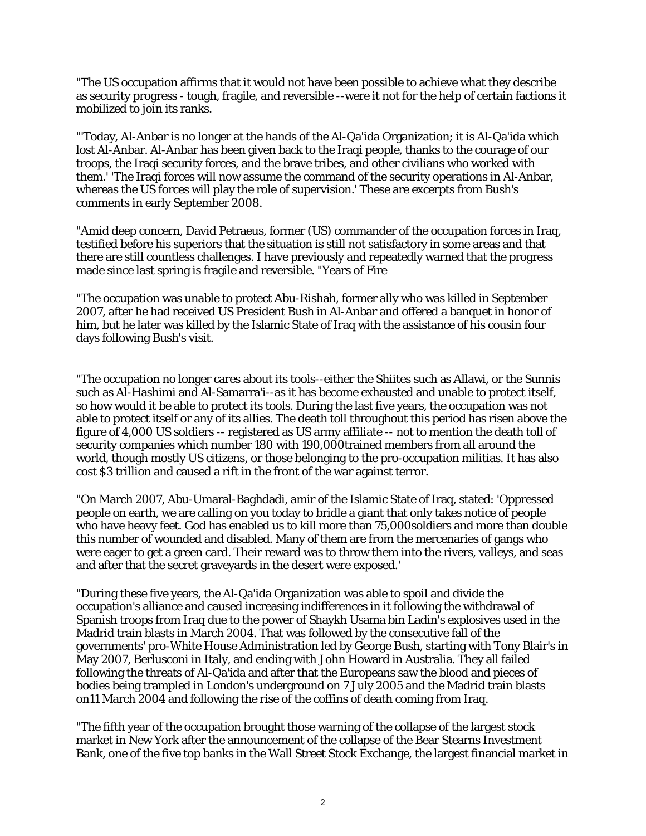"The US occupation affirms that it would not have been possible to achieve what they describe as security progress - tough, fragile, and reversible --were it not for the help of certain factions it mobilized to join its ranks.

"'Today, Al-Anbar is no longer at the hands of the Al-Qa'ida Organization; it is Al-Qa'ida which lost Al-Anbar. Al-Anbar has been given back to the Iraqi people, thanks to the courage of our troops, the Iraqi security forces, and the brave tribes, and other civilians who worked with them.' 'The Iraqi forces will now assume the command of the security operations in Al-Anbar, whereas the US forces will play the role of supervision.' These are excerpts from Bush's comments in early September 2008.

"Amid deep concern, David Petraeus, former (US) commander of the occupation forces in Iraq, testified before his superiors that the situation is still not satisfactory in some areas and that there are still countless challenges. I have previously and repeatedly warned that the progress made since last spring is fragile and reversible. "Years of Fire

"The occupation was unable to protect Abu-Rishah, former ally who was killed in September 2007, after he had received US President Bush in Al-Anbar and offered a banquet in honor of him, but he later was killed by the Islamic State of Iraq with the assistance of his cousin four days following Bush's visit.

"The occupation no longer cares about its tools--either the Shiites such as Allawi, or the Sunnis such as Al-Hashimi and Al-Samarra'i--as it has become exhausted and unable to protect itself, so how would it be able to protect its tools. During the last five years, the occupation was not able to protect itself or any of its allies. The death toll throughout this period has risen above the figure of 4,000 US soldiers -- registered as US army affiliate -- not to mention the death toll of security companies which number 180 with 190,000trained members from all around the world, though mostly US citizens, or those belonging to the pro-occupation militias. It has also cost \$3 trillion and caused a rift in the front of the war against terror.

"On March 2007, Abu-Umaral-Baghdadi, amir of the Islamic State of Iraq, stated: 'Oppressed people on earth, we are calling on you today to bridle a giant that only takes notice of people who have heavy feet. God has enabled us to kill more than 75,000soldiers and more than double this number of wounded and disabled. Many of them are from the mercenaries of gangs who were eager to get a green card. Their reward was to throw them into the rivers, valleys, and seas and after that the secret graveyards in the desert were exposed.'

"During these five years, the Al-Qa'ida Organization was able to spoil and divide the occupation's alliance and caused increasing indifferences in it following the withdrawal of Spanish troops from Iraq due to the power of Shaykh Usama bin Ladin's explosives used in the Madrid train blasts in March 2004. That was followed by the consecutive fall of the governments' pro-White House Administration led by George Bush, starting with Tony Blair's in May 2007, Berlusconi in Italy, and ending with John Howard in Australia. They all failed following the threats of Al-Qa'ida and after that the Europeans saw the blood and pieces of bodies being trampled in London's underground on 7 July 2005 and the Madrid train blasts on11 March 2004 and following the rise of the coffins of death coming from Iraq.

"The fifth year of the occupation brought those warning of the collapse of the largest stock market in New York after the announcement of the collapse of the Bear Stearns Investment Bank, one of the five top banks in the Wall Street Stock Exchange, the largest financial market in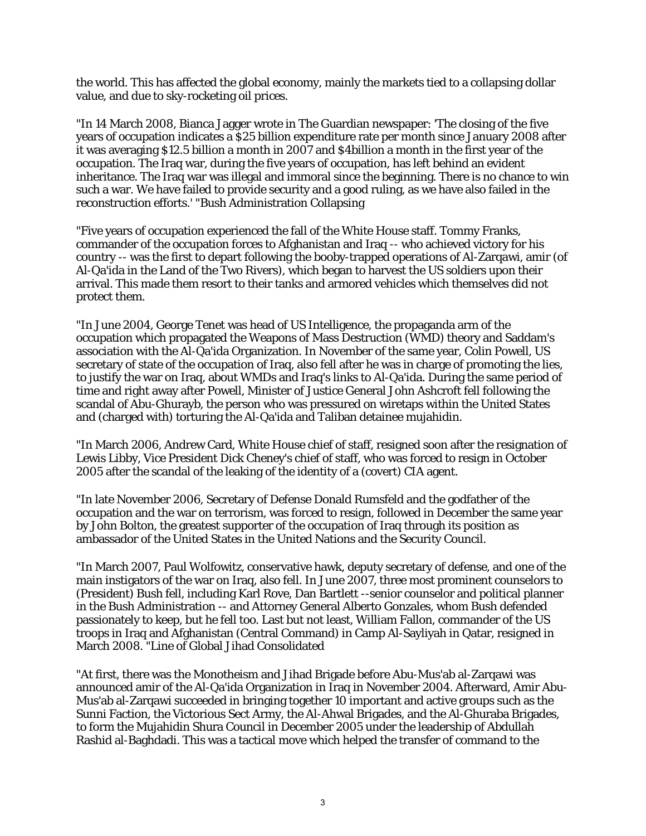the world. This has affected the global economy, mainly the markets tied to a collapsing dollar value, and due to sky-rocketing oil prices.

"In 14 March 2008, Bianca Jagger wrote in The Guardian newspaper: 'The closing of the five years of occupation indicates a \$25 billion expenditure rate per month since January 2008 after it was averaging \$12.5 billion a month in 2007 and \$4billion a month in the first year of the occupation. The Iraq war, during the five years of occupation, has left behind an evident inheritance. The Iraq war was illegal and immoral since the beginning. There is no chance to win such a war. We have failed to provide security and a good ruling, as we have also failed in the reconstruction efforts.' "Bush Administration Collapsing

"Five years of occupation experienced the fall of the White House staff. Tommy Franks, commander of the occupation forces to Afghanistan and Iraq -- who achieved victory for his country -- was the first to depart following the booby-trapped operations of Al-Zarqawi, amir (of Al-Qa'ida in the Land of the Two Rivers), which began to harvest the US soldiers upon their arrival. This made them resort to their tanks and armored vehicles which themselves did not protect them.

"In June 2004, George Tenet was head of US Intelligence, the propaganda arm of the occupation which propagated the Weapons of Mass Destruction (WMD) theory and Saddam's association with the Al-Qa'ida Organization. In November of the same year, Colin Powell, US secretary of state of the occupation of Iraq, also fell after he was in charge of promoting the lies, to justify the war on Iraq, about WMDs and Iraq's links to Al-Qa'ida. During the same period of time and right away after Powell, Minister of Justice General John Ashcroft fell following the scandal of Abu-Ghurayb, the person who was pressured on wiretaps within the United States and (charged with) torturing the Al-Qa'ida and Taliban detainee mujahidin.

"In March 2006, Andrew Card, White House chief of staff, resigned soon after the resignation of Lewis Libby, Vice President Dick Cheney's chief of staff, who was forced to resign in October 2005 after the scandal of the leaking of the identity of a (covert) CIA agent.

"In late November 2006, Secretary of Defense Donald Rumsfeld and the godfather of the occupation and the war on terrorism, was forced to resign, followed in December the same year by John Bolton, the greatest supporter of the occupation of Iraq through its position as ambassador of the United States in the United Nations and the Security Council.

"In March 2007, Paul Wolfowitz, conservative hawk, deputy secretary of defense, and one of the main instigators of the war on Iraq, also fell. In June 2007, three most prominent counselors to (President) Bush fell, including Karl Rove, Dan Bartlett --senior counselor and political planner in the Bush Administration -- and Attorney General Alberto Gonzales, whom Bush defended passionately to keep, but he fell too. Last but not least, William Fallon, commander of the US troops in Iraq and Afghanistan (Central Command) in Camp Al-Sayliyah in Qatar, resigned in March 2008. "Line of Global Jihad Consolidated

"At first, there was the Monotheism and Jihad Brigade before Abu-Mus'ab al-Zarqawi was announced amir of the Al-Qa'ida Organization in Iraq in November 2004. Afterward, Amir Abu-Mus'ab al-Zarqawi succeeded in bringing together 10 important and active groups such as the Sunni Faction, the Victorious Sect Army, the Al-Ahwal Brigades, and the Al-Ghuraba Brigades, to form the Mujahidin Shura Council in December 2005 under the leadership of Abdullah Rashid al-Baghdadi. This was a tactical move which helped the transfer of command to the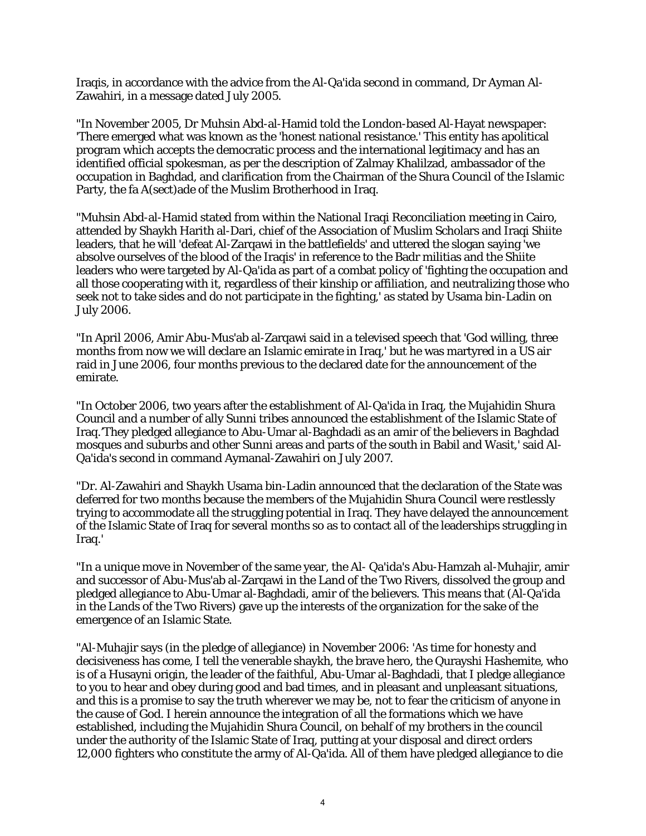Iraqis, in accordance with the advice from the Al-Qa'ida second in command, Dr Ayman Al-Zawahiri, in a message dated July 2005.

"In November 2005, Dr Muhsin Abd-al-Hamid told the London-based Al-Hayat newspaper: 'There emerged what was known as the 'honest national resistance.' This entity has apolitical program which accepts the democratic process and the international legitimacy and has an identified official spokesman, as per the description of Zalmay Khalilzad, ambassador of the occupation in Baghdad, and clarification from the Chairman of the Shura Council of the Islamic Party, the fa A(sect)ade of the Muslim Brotherhood in Iraq.

"Muhsin Abd-al-Hamid stated from within the National Iraqi Reconciliation meeting in Cairo, attended by Shaykh Harith al-Dari, chief of the Association of Muslim Scholars and Iraqi Shiite leaders, that he will 'defeat Al-Zarqawi in the battlefields' and uttered the slogan saying 'we absolve ourselves of the blood of the Iraqis' in reference to the Badr militias and the Shiite leaders who were targeted by Al-Qa'ida as part of a combat policy of 'fighting the occupation and all those cooperating with it, regardless of their kinship or affiliation, and neutralizing those who seek not to take sides and do not participate in the fighting,' as stated by Usama bin-Ladin on July 2006.

"In April 2006, Amir Abu-Mus'ab al-Zarqawi said in a televised speech that 'God willing, three months from now we will declare an Islamic emirate in Iraq,' but he was martyred in a US air raid in June 2006, four months previous to the declared date for the announcement of the emirate.

"In October 2006, two years after the establishment of Al-Qa'ida in Iraq, the Mujahidin Shura Council and a number of ally Sunni tribes announced the establishment of the Islamic State of Iraq.'They pledged allegiance to Abu-Umar al-Baghdadi as an amir of the believers in Baghdad mosques and suburbs and other Sunni areas and parts of the south in Babil and Wasit,' said Al-Qa'ida's second in command Aymanal-Zawahiri on July 2007.

"Dr. Al-Zawahiri and Shaykh Usama bin-Ladin announced that the declaration of the State was deferred for two months because the members of the Mujahidin Shura Council were restlessly trying to accommodate all the struggling potential in Iraq. They have delayed the announcement of the Islamic State of Iraq for several months so as to contact all of the leaderships struggling in Iraq.'

"In a unique move in November of the same year, the Al- Qa'ida's Abu-Hamzah al-Muhajir, amir and successor of Abu-Mus'ab al-Zarqawi in the Land of the Two Rivers, dissolved the group and pledged allegiance to Abu-Umar al-Baghdadi, amir of the believers. This means that (Al-Qa'ida in the Lands of the Two Rivers) gave up the interests of the organization for the sake of the emergence of an Islamic State.

"Al-Muhajir says (in the pledge of allegiance) in November 2006: 'As time for honesty and decisiveness has come, I tell the venerable shaykh, the brave hero, the Qurayshi Hashemite, who is of a Husayni origin, the leader of the faithful, Abu-Umar al-Baghdadi, that I pledge allegiance to you to hear and obey during good and bad times, and in pleasant and unpleasant situations, and this is a promise to say the truth wherever we may be, not to fear the criticism of anyone in the cause of God. I herein announce the integration of all the formations which we have established, including the Mujahidin Shura Council, on behalf of my brothers in the council under the authority of the Islamic State of Iraq, putting at your disposal and direct orders 12,000 fighters who constitute the army of Al-Qa'ida. All of them have pledged allegiance to die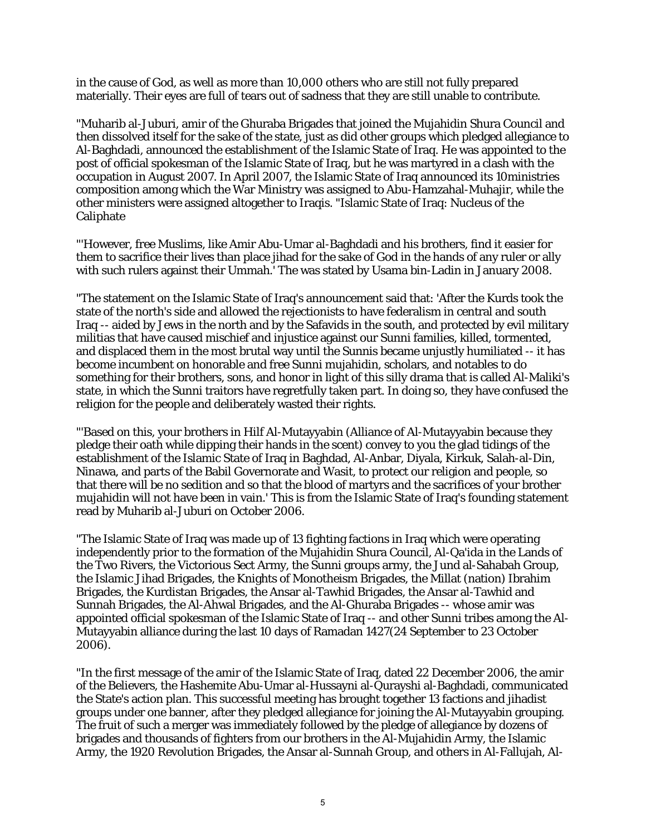in the cause of God, as well as more than 10,000 others who are still not fully prepared materially. Their eyes are full of tears out of sadness that they are still unable to contribute.

"Muharib al-Juburi, amir of the Ghuraba Brigades that joined the Mujahidin Shura Council and then dissolved itself for the sake of the state, just as did other groups which pledged allegiance to Al-Baghdadi, announced the establishment of the Islamic State of Iraq. He was appointed to the post of official spokesman of the Islamic State of Iraq, but he was martyred in a clash with the occupation in August 2007. In April 2007, the Islamic State of Iraq announced its 10ministries composition among which the War Ministry was assigned to Abu-Hamzahal-Muhajir, while the other ministers were assigned altogether to Iraqis. "Islamic State of Iraq: Nucleus of the Caliphate

"'However, free Muslims, like Amir Abu-Umar al-Baghdadi and his brothers, find it easier for them to sacrifice their lives than place jihad for the sake of God in the hands of any ruler or ally with such rulers against their Ummah.' The was stated by Usama bin-Ladin in January 2008.

"The statement on the Islamic State of Iraq's announcement said that: 'After the Kurds took the state of the north's side and allowed the rejectionists to have federalism in central and south Iraq -- aided by Jews in the north and by the Safavids in the south, and protected by evil military militias that have caused mischief and injustice against our Sunni families, killed, tormented, and displaced them in the most brutal way until the Sunnis became unjustly humiliated -- it has become incumbent on honorable and free Sunni mujahidin, scholars, and notables to do something for their brothers, sons, and honor in light of this silly drama that is called Al-Maliki's state, in which the Sunni traitors have regretfully taken part. In doing so, they have confused the religion for the people and deliberately wasted their rights.

"'Based on this, your brothers in Hilf Al-Mutayyabin (Alliance of Al-Mutayyabin because they pledge their oath while dipping their hands in the scent) convey to you the glad tidings of the establishment of the Islamic State of Iraq in Baghdad, Al-Anbar, Diyala, Kirkuk, Salah-al-Din, Ninawa, and parts of the Babil Governorate and Wasit, to protect our religion and people, so that there will be no sedition and so that the blood of martyrs and the sacrifices of your brother mujahidin will not have been in vain.' This is from the Islamic State of Iraq's founding statement read by Muharib al-Juburi on October 2006.

"The Islamic State of Iraq was made up of 13 fighting factions in Iraq which were operating independently prior to the formation of the Mujahidin Shura Council, Al-Qa'ida in the Lands of the Two Rivers, the Victorious Sect Army, the Sunni groups army, the Jund al-Sahabah Group, the Islamic Jihad Brigades, the Knights of Monotheism Brigades, the Millat (nation) Ibrahim Brigades, the Kurdistan Brigades, the Ansar al-Tawhid Brigades, the Ansar al-Tawhid and Sunnah Brigades, the Al-Ahwal Brigades, and the Al-Ghuraba Brigades -- whose amir was appointed official spokesman of the Islamic State of Iraq -- and other Sunni tribes among the Al-Mutayyabin alliance during the last 10 days of Ramadan 1427(24 September to 23 October 2006).

"In the first message of the amir of the Islamic State of Iraq, dated 22 December 2006, the amir of the Believers, the Hashemite Abu-Umar al-Hussayni al-Qurayshi al-Baghdadi, communicated the State's action plan. This successful meeting has brought together 13 factions and jihadist groups under one banner, after they pledged allegiance for joining the Al-Mutayyabin grouping. The fruit of such a merger was immediately followed by the pledge of allegiance by dozens of brigades and thousands of fighters from our brothers in the Al-Mujahidin Army, the Islamic Army, the 1920 Revolution Brigades, the Ansar al-Sunnah Group, and others in Al-Fallujah, Al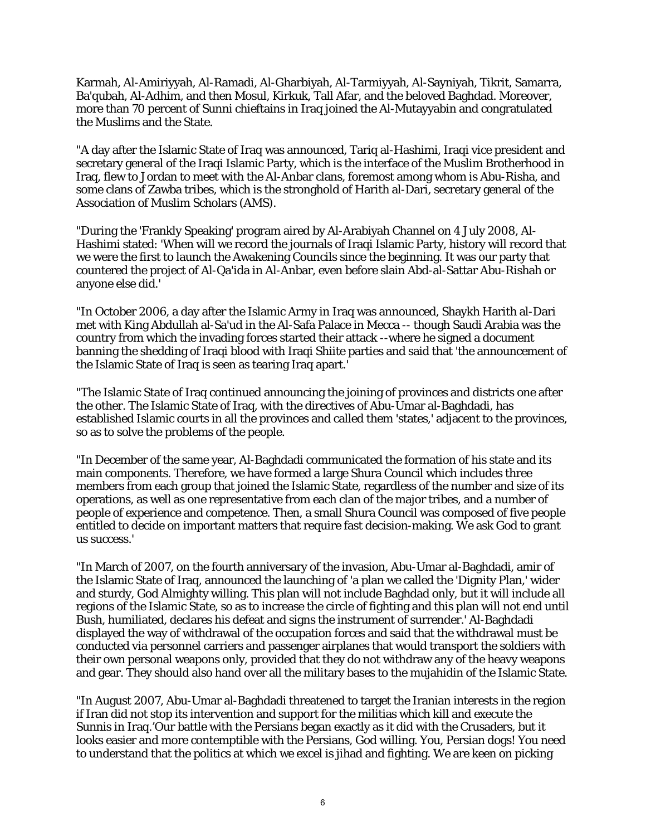Karmah, Al-Amiriyyah, Al-Ramadi, Al-Gharbiyah, Al-Tarmiyyah, Al-Sayniyah, Tikrit, Samarra, Ba'qubah, Al-Adhim, and then Mosul, Kirkuk, Tall Afar, and the beloved Baghdad. Moreover, more than 70 percent of Sunni chieftains in Iraq joined the Al-Mutayyabin and congratulated the Muslims and the State.

"A day after the Islamic State of Iraq was announced, Tariq al-Hashimi, Iraqi vice president and secretary general of the Iraqi Islamic Party, which is the interface of the Muslim Brotherhood in Iraq, flew to Jordan to meet with the Al-Anbar clans, foremost among whom is Abu-Risha, and some clans of Zawba tribes, which is the stronghold of Harith al-Dari, secretary general of the Association of Muslim Scholars (AMS).

"During the 'Frankly Speaking' program aired by Al-Arabiyah Channel on 4 July 2008, Al-Hashimi stated: 'When will we record the journals of Iraqi Islamic Party, history will record that we were the first to launch the Awakening Councils since the beginning. It was our party that countered the project of Al-Qa'ida in Al-Anbar, even before slain Abd-al-Sattar Abu-Rishah or anyone else did.'

"In October 2006, a day after the Islamic Army in Iraq was announced, Shaykh Harith al-Dari met with King Abdullah al-Sa'ud in the Al-Safa Palace in Mecca -- though Saudi Arabia was the country from which the invading forces started their attack --where he signed a document banning the shedding of Iraqi blood with Iraqi Shiite parties and said that 'the announcement of the Islamic State of Iraq is seen as tearing Iraq apart.'

"The Islamic State of Iraq continued announcing the joining of provinces and districts one after the other. The Islamic State of Iraq, with the directives of Abu-Umar al-Baghdadi, has established Islamic courts in all the provinces and called them 'states,' adjacent to the provinces, so as to solve the problems of the people.

"In December of the same year, Al-Baghdadi communicated the formation of his state and its main components. Therefore, we have formed a large Shura Council which includes three members from each group that joined the Islamic State, regardless of the number and size of its operations, as well as one representative from each clan of the major tribes, and a number of people of experience and competence. Then, a small Shura Council was composed of five people entitled to decide on important matters that require fast decision-making. We ask God to grant us success.'

"In March of 2007, on the fourth anniversary of the invasion, Abu-Umar al-Baghdadi, amir of the Islamic State of Iraq, announced the launching of 'a plan we called the 'Dignity Plan,' wider and sturdy, God Almighty willing. This plan will not include Baghdad only, but it will include all regions of the Islamic State, so as to increase the circle of fighting and this plan will not end until Bush, humiliated, declares his defeat and signs the instrument of surrender.' Al-Baghdadi displayed the way of withdrawal of the occupation forces and said that the withdrawal must be conducted via personnel carriers and passenger airplanes that would transport the soldiers with their own personal weapons only, provided that they do not withdraw any of the heavy weapons and gear. They should also hand over all the military bases to the mujahidin of the Islamic State.

"In August 2007, Abu-Umar al-Baghdadi threatened to target the Iranian interests in the region if Iran did not stop its intervention and support for the militias which kill and execute the Sunnis in Iraq.'Our battle with the Persians began exactly as it did with the Crusaders, but it looks easier and more contemptible with the Persians, God willing. You, Persian dogs! You need to understand that the politics at which we excel is jihad and fighting. We are keen on picking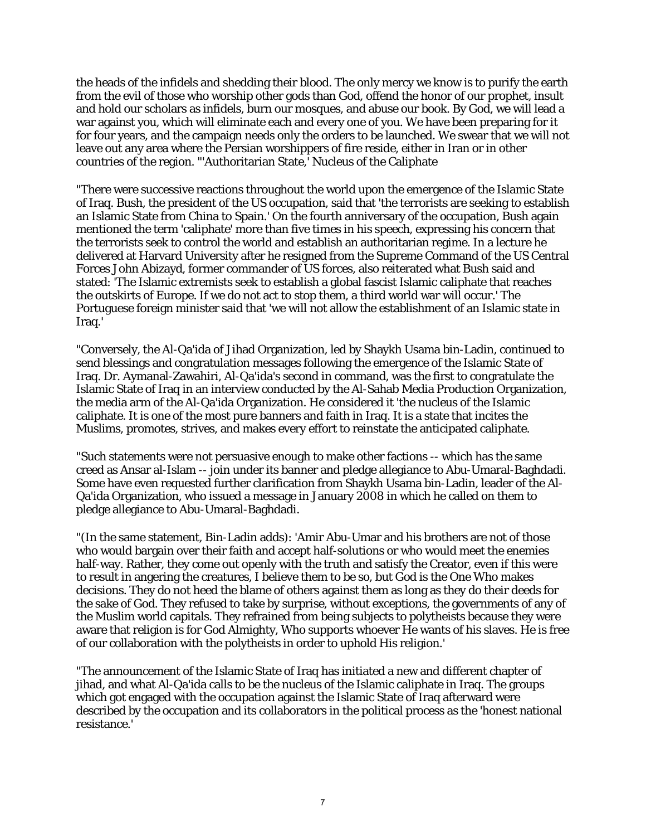the heads of the infidels and shedding their blood. The only mercy we know is to purify the earth from the evil of those who worship other gods than God, offend the honor of our prophet, insult and hold our scholars as infidels, burn our mosques, and abuse our book. By God, we will lead a war against you, which will eliminate each and every one of you. We have been preparing for it for four years, and the campaign needs only the orders to be launched. We swear that we will not leave out any area where the Persian worshippers of fire reside, either in Iran or in other countries of the region. "'Authoritarian State,' Nucleus of the Caliphate

"There were successive reactions throughout the world upon the emergence of the Islamic State of Iraq. Bush, the president of the US occupation, said that 'the terrorists are seeking to establish an Islamic State from China to Spain.' On the fourth anniversary of the occupation, Bush again mentioned the term 'caliphate' more than five times in his speech, expressing his concern that the terrorists seek to control the world and establish an authoritarian regime. In a lecture he delivered at Harvard University after he resigned from the Supreme Command of the US Central Forces John Abizayd, former commander of US forces, also reiterated what Bush said and stated: 'The Islamic extremists seek to establish a global fascist Islamic caliphate that reaches the outskirts of Europe. If we do not act to stop them, a third world war will occur.' The Portuguese foreign minister said that 'we will not allow the establishment of an Islamic state in Iraq.'

"Conversely, the Al-Qa'ida of Jihad Organization, led by Shaykh Usama bin-Ladin, continued to send blessings and congratulation messages following the emergence of the Islamic State of Iraq. Dr. Aymanal-Zawahiri, Al-Qa'ida's second in command, was the first to congratulate the Islamic State of Iraq in an interview conducted by the Al-Sahab Media Production Organization, the media arm of the Al-Qa'ida Organization. He considered it 'the nucleus of the Islamic caliphate. It is one of the most pure banners and faith in Iraq. It is a state that incites the Muslims, promotes, strives, and makes every effort to reinstate the anticipated caliphate.

"Such statements were not persuasive enough to make other factions -- which has the same creed as Ansar al-Islam -- join under its banner and pledge allegiance to Abu-Umaral-Baghdadi. Some have even requested further clarification from Shaykh Usama bin-Ladin, leader of the Al-Qa'ida Organization, who issued a message in January 2008 in which he called on them to pledge allegiance to Abu-Umaral-Baghdadi.

"(In the same statement, Bin-Ladin adds): 'Amir Abu-Umar and his brothers are not of those who would bargain over their faith and accept half-solutions or who would meet the enemies half-way. Rather, they come out openly with the truth and satisfy the Creator, even if this were to result in angering the creatures, I believe them to be so, but God is the One Who makes decisions. They do not heed the blame of others against them as long as they do their deeds for the sake of God. They refused to take by surprise, without exceptions, the governments of any of the Muslim world capitals. They refrained from being subjects to polytheists because they were aware that religion is for God Almighty, Who supports whoever He wants of his slaves. He is free of our collaboration with the polytheists in order to uphold His religion.'

"The announcement of the Islamic State of Iraq has initiated a new and different chapter of jihad, and what Al-Qa'ida calls to be the nucleus of the Islamic caliphate in Iraq. The groups which got engaged with the occupation against the Islamic State of Iraq afterward were described by the occupation and its collaborators in the political process as the 'honest national resistance.'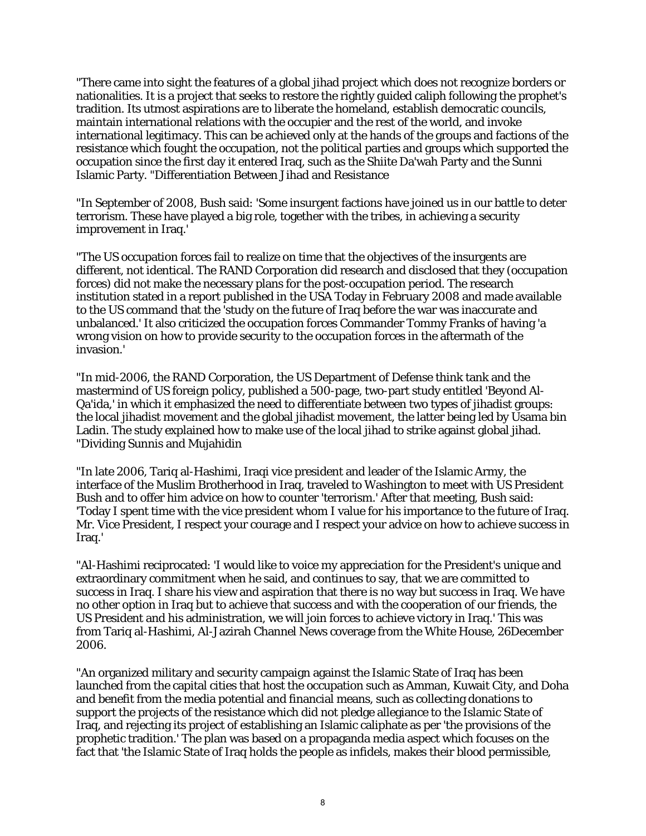"There came into sight the features of a global jihad project which does not recognize borders or nationalities. It is a project that seeks to restore the rightly guided caliph following the prophet's tradition. Its utmost aspirations are to liberate the homeland, establish democratic councils, maintain international relations with the occupier and the rest of the world, and invoke international legitimacy. This can be achieved only at the hands of the groups and factions of the resistance which fought the occupation, not the political parties and groups which supported the occupation since the first day it entered Iraq, such as the Shiite Da'wah Party and the Sunni Islamic Party. "Differentiation Between Jihad and Resistance

"In September of 2008, Bush said: 'Some insurgent factions have joined us in our battle to deter terrorism. These have played a big role, together with the tribes, in achieving a security improvement in Iraq.'

"The US occupation forces fail to realize on time that the objectives of the insurgents are different, not identical. The RAND Corporation did research and disclosed that they (occupation forces) did not make the necessary plans for the post-occupation period. The research institution stated in a report published in the USA Today in February 2008 and made available to the US command that the 'study on the future of Iraq before the war was inaccurate and unbalanced.' It also criticized the occupation forces Commander Tommy Franks of having 'a wrong vision on how to provide security to the occupation forces in the aftermath of the invasion.'

"In mid-2006, the RAND Corporation, the US Department of Defense think tank and the mastermind of US foreign policy, published a 500-page, two-part study entitled 'Beyond Al-Qa'ida,' in which it emphasized the need to differentiate between two types of jihadist groups: the local jihadist movement and the global jihadist movement, the latter being led by Usama bin Ladin. The study explained how to make use of the local jihad to strike against global jihad. "Dividing Sunnis and Mujahidin

"In late 2006, Tariq al-Hashimi, Iraqi vice president and leader of the Islamic Army, the interface of the Muslim Brotherhood in Iraq, traveled to Washington to meet with US President Bush and to offer him advice on how to counter 'terrorism.' After that meeting, Bush said: 'Today I spent time with the vice president whom I value for his importance to the future of Iraq. Mr. Vice President, I respect your courage and I respect your advice on how to achieve success in Iraq.'

"Al-Hashimi reciprocated: 'I would like to voice my appreciation for the President's unique and extraordinary commitment when he said, and continues to say, that we are committed to success in Iraq. I share his view and aspiration that there is no way but success in Iraq. We have no other option in Iraq but to achieve that success and with the cooperation of our friends, the US President and his administration, we will join forces to achieve victory in Iraq.' This was from Tariq al-Hashimi, Al-Jazirah Channel News coverage from the White House, 26December 2006.

"An organized military and security campaign against the Islamic State of Iraq has been launched from the capital cities that host the occupation such as Amman, Kuwait City, and Doha and benefit from the media potential and financial means, such as collecting donations to support the projects of the resistance which did not pledge allegiance to the Islamic State of Iraq, and rejecting its project of establishing an Islamic caliphate as per 'the provisions of the prophetic tradition.' The plan was based on a propaganda media aspect which focuses on the fact that 'the Islamic State of Iraq holds the people as infidels, makes their blood permissible,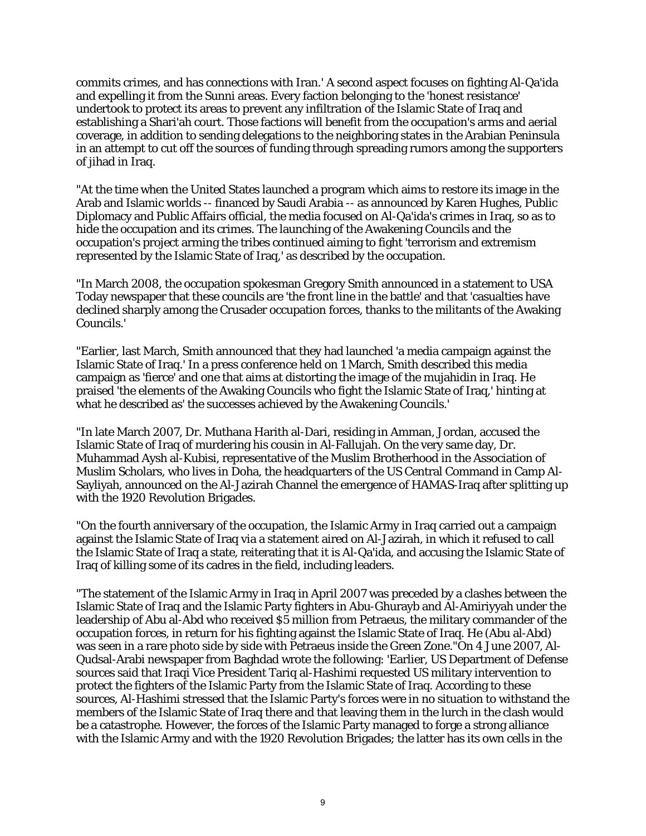commits crimes, and has connections with Iran.' A second aspect focuses on fighting Al-Qa'ida and expelling it from the Sunni areas. Every faction belonging to the 'honest resistance' undertook to protect its areas to prevent any infiltration of the Islamic State of Iraq and establishing a Shari'ah court. Those factions will benefit from the occupation's arms and aerial coverage, in addition to sending delegations to the neighboring states in the Arabian Peninsula in an attempt to cut off the sources of funding through spreading rumors among the supporters of jihad in Iraq.

"At the time when the United States launched a program which aims to restore its image in the Arab and Islamic worlds -- financed by Saudi Arabia -- as announced by Karen Hughes, Public Diplomacy and Public Affairs official, the media focused on Al-Qa'ida's crimes in Iraq, so as to hide the occupation and its crimes. The launching of the Awakening Councils and the occupation's project arming the tribes continued aiming to fight 'terrorism and extremism represented by the Islamic State of Iraq,' as described by the occupation.

"In March 2008, the occupation spokesman Gregory Smith announced in a statement to USA Today newspaper that these councils are 'the front line in the battle' and that 'casualties have declined sharply among the Crusader occupation forces, thanks to the militants of the Awaking Councils.'

"Earlier, last March, Smith announced that they had launched 'a media campaign against the Islamic State of Iraq.' In a press conference held on 1 March, Smith described this media campaign as 'fierce' and one that aims at distorting the image of the mujahidin in Iraq. He praised 'the elements of the Awaking Councils who fight the Islamic State of Iraq,' hinting at what he described as' the successes achieved by the Awakening Councils.'

"In late March 2007, Dr. Muthana Harith al-Dari, residing in Amman, Jordan, accused the Islamic State of Iraq of murdering his cousin in Al-Fallujah. On the very same day, Dr. Muhammad Aysh al-Kubisi, representative of the Muslim Brotherhood in the Association of Muslim Scholars, who lives in Doha, the headquarters of the US Central Command in Camp Al-Sayliyah, announced on the Al-Jazirah Channel the emergence of HAMAS-Iraq after splitting up with the 1920 Revolution Brigades.

"On the fourth anniversary of the occupation, the Islamic Army in Iraq carried out a campaign against the Islamic State of Iraq via a statement aired on Al-Jazirah, in which it refused to call the Islamic State of Iraq a state, reiterating that it is Al-Qa'ida, and accusing the Islamic State of Iraq of killing some of its cadres in the field, including leaders.

"The statement of the Islamic Army in Iraq in April 2007 was preceded by a clashes between the Islamic State of Iraq and the Islamic Party fighters in Abu-Ghurayb and Al-Amiriyyah under the leadership of Abu al-Abd who received \$5 million from Petraeus, the military commander of the occupation forces, in return for his fighting against the Islamic State of Iraq. He (Abu al-Abd) was seen in a rare photo side by side with Petraeus inside the Green Zone."On 4 June 2007, Al-Qudsal-Arabi newspaper from Baghdad wrote the following: 'Earlier, US Department of Defense sources said that Iraqi Vice President Tariq al-Hashimi requested US military intervention to protect the fighters of the Islamic Party from the Islamic State of Iraq. According to these sources, Al-Hashimi stressed that the Islamic Party's forces were in no situation to withstand the members of the Islamic State of Iraq there and that leaving them in the lurch in the clash would be a catastrophe. However, the forces of the Islamic Party managed to forge a strong alliance with the Islamic Army and with the 1920 Revolution Brigades; the latter has its own cells in the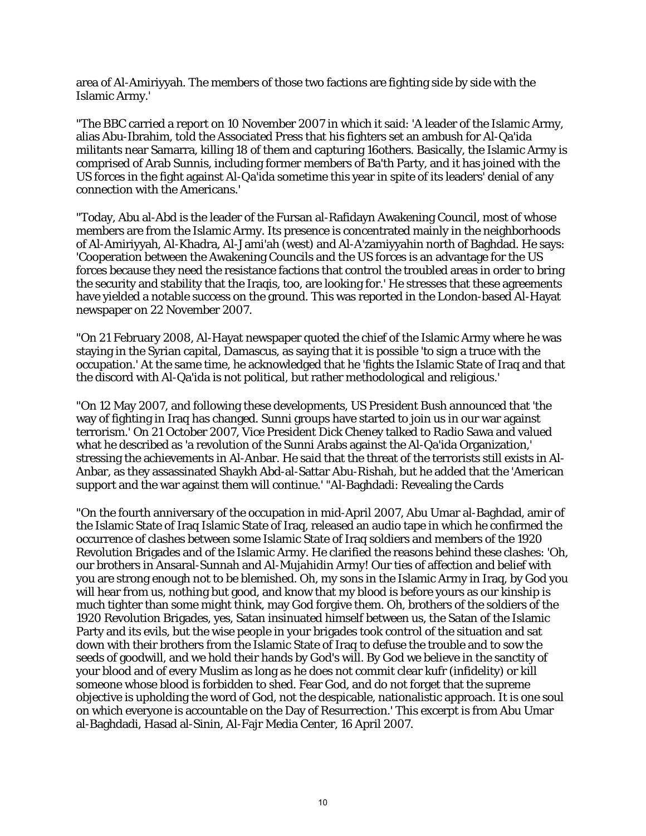area of Al-Amiriyyah. The members of those two factions are fighting side by side with the Islamic Army.'

"The BBC carried a report on 10 November 2007 in which it said: 'A leader of the Islamic Army, alias Abu-Ibrahim, told the Associated Press that his fighters set an ambush for Al-Qa'ida militants near Samarra, killing 18 of them and capturing 16others. Basically, the Islamic Army is comprised of Arab Sunnis, including former members of Ba'th Party, and it has joined with the US forces in the fight against Al-Qa'ida sometime this year in spite of its leaders' denial of any connection with the Americans.'

"Today, Abu al-Abd is the leader of the Fursan al-Rafidayn Awakening Council, most of whose members are from the Islamic Army. Its presence is concentrated mainly in the neighborhoods of Al-Amiriyyah, Al-Khadra, Al-Jami'ah (west) and Al-A'zamiyyahin north of Baghdad. He says: 'Cooperation between the Awakening Councils and the US forces is an advantage for the US forces because they need the resistance factions that control the troubled areas in order to bring the security and stability that the Iraqis, too, are looking for.' He stresses that these agreements have yielded a notable success on the ground. This was reported in the London-based Al-Hayat newspaper on 22 November 2007.

"On 21 February 2008, Al-Hayat newspaper quoted the chief of the Islamic Army where he was staying in the Syrian capital, Damascus, as saying that it is possible 'to sign a truce with the occupation.' At the same time, he acknowledged that he 'fights the Islamic State of Iraq and that the discord with Al-Qa'ida is not political, but rather methodological and religious.'

"On 12 May 2007, and following these developments, US President Bush announced that 'the way of fighting in Iraq has changed. Sunni groups have started to join us in our war against terrorism.' On 21 October 2007, Vice President Dick Cheney talked to Radio Sawa and valued what he described as 'a revolution of the Sunni Arabs against the Al-Qa'ida Organization,' stressing the achievements in Al-Anbar. He said that the threat of the terrorists still exists in Al-Anbar, as they assassinated Shaykh Abd-al-Sattar Abu-Rishah, but he added that the 'American support and the war against them will continue.' "Al-Baghdadi: Revealing the Cards

"On the fourth anniversary of the occupation in mid-April 2007, Abu Umar al-Baghdad, amir of the Islamic State of Iraq Islamic State of Iraq, released an audio tape in which he confirmed the occurrence of clashes between some Islamic State of Iraq soldiers and members of the 1920 Revolution Brigades and of the Islamic Army. He clarified the reasons behind these clashes: 'Oh, our brothers in Ansaral-Sunnah and Al-Mujahidin Army! Our ties of affection and belief with you are strong enough not to be blemished. Oh, my sons in the Islamic Army in Iraq, by God you will hear from us, nothing but good, and know that my blood is before yours as our kinship is much tighter than some might think, may God forgive them. Oh, brothers of the soldiers of the 1920 Revolution Brigades, yes, Satan insinuated himself between us, the Satan of the Islamic Party and its evils, but the wise people in your brigades took control of the situation and sat down with their brothers from the Islamic State of Iraq to defuse the trouble and to sow the seeds of goodwill, and we hold their hands by God's will. By God we believe in the sanctity of your blood and of every Muslim as long as he does not commit clear kufr (infidelity) or kill someone whose blood is forbidden to shed. Fear God, and do not forget that the supreme objective is upholding the word of God, not the despicable, nationalistic approach. It is one soul on which everyone is accountable on the Day of Resurrection.' This excerpt is from Abu Umar al-Baghdadi, Hasad al-Sinin, Al-Fajr Media Center, 16 April 2007.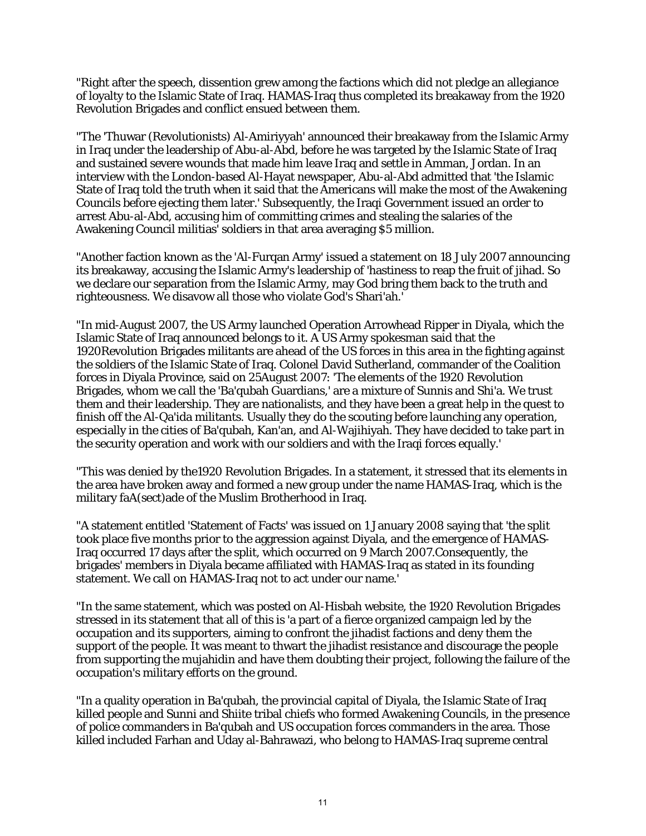"Right after the speech, dissention grew among the factions which did not pledge an allegiance of loyalty to the Islamic State of Iraq. HAMAS-Iraq thus completed its breakaway from the 1920 Revolution Brigades and conflict ensued between them.

"The 'Thuwar (Revolutionists) Al-Amiriyyah' announced their breakaway from the Islamic Army in Iraq under the leadership of Abu-al-Abd, before he was targeted by the Islamic State of Iraq and sustained severe wounds that made him leave Iraq and settle in Amman, Jordan. In an interview with the London-based Al-Hayat newspaper, Abu-al-Abd admitted that 'the Islamic State of Iraq told the truth when it said that the Americans will make the most of the Awakening Councils before ejecting them later.' Subsequently, the Iraqi Government issued an order to arrest Abu-al-Abd, accusing him of committing crimes and stealing the salaries of the Awakening Council militias' soldiers in that area averaging \$5 million.

"Another faction known as the 'Al-Furqan Army' issued a statement on 18 July 2007 announcing its breakaway, accusing the Islamic Army's leadership of 'hastiness to reap the fruit of jihad. So we declare our separation from the Islamic Army, may God bring them back to the truth and righteousness. We disavow all those who violate God's Shari'ah.'

"In mid-August 2007, the US Army launched Operation Arrowhead Ripper in Diyala, which the Islamic State of Iraq announced belongs to it. A US Army spokesman said that the 1920Revolution Brigades militants are ahead of the US forces in this area in the fighting against the soldiers of the Islamic State of Iraq. Colonel David Sutherland, commander of the Coalition forces in Diyala Province, said on 25August 2007: 'The elements of the 1920 Revolution Brigades, whom we call the 'Ba'qubah Guardians,' are a mixture of Sunnis and Shi'a. We trust them and their leadership. They are nationalists, and they have been a great help in the quest to finish off the Al-Qa'ida militants. Usually they do the scouting before launching any operation, especially in the cities of Ba'qubah, Kan'an, and Al-Wajihiyah. They have decided to take part in the security operation and work with our soldiers and with the Iraqi forces equally.'

"This was denied by the1920 Revolution Brigades. In a statement, it stressed that its elements in the area have broken away and formed a new group under the name HAMAS-Iraq, which is the military faA(sect)ade of the Muslim Brotherhood in Iraq.

"A statement entitled 'Statement of Facts' was issued on 1 January 2008 saying that 'the split took place five months prior to the aggression against Diyala, and the emergence of HAMAS-Iraq occurred 17 days after the split, which occurred on 9 March 2007.Consequently, the brigades' members in Diyala became affiliated with HAMAS-Iraq as stated in its founding statement. We call on HAMAS-Iraq not to act under our name.'

"In the same statement, which was posted on Al-Hisbah website, the 1920 Revolution Brigades stressed in its statement that all of this is 'a part of a fierce organized campaign led by the occupation and its supporters, aiming to confront the jihadist factions and deny them the support of the people. It was meant to thwart the jihadist resistance and discourage the people from supporting the mujahidin and have them doubting their project, following the failure of the occupation's military efforts on the ground.

"In a quality operation in Ba'qubah, the provincial capital of Diyala, the Islamic State of Iraq killed people and Sunni and Shiite tribal chiefs who formed Awakening Councils, in the presence of police commanders in Ba'qubah and US occupation forces commanders in the area. Those killed included Farhan and Uday al-Bahrawazi, who belong to HAMAS-Iraq supreme central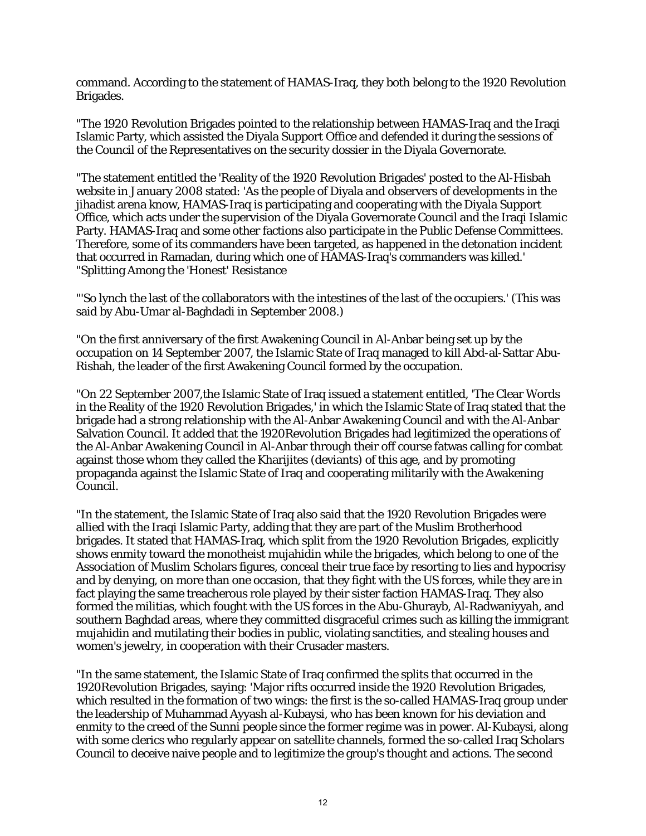command. According to the statement of HAMAS-Iraq, they both belong to the 1920 Revolution Brigades.

"The 1920 Revolution Brigades pointed to the relationship between HAMAS-Iraq and the Iraqi Islamic Party, which assisted the Diyala Support Office and defended it during the sessions of the Council of the Representatives on the security dossier in the Diyala Governorate.

"The statement entitled the 'Reality of the 1920 Revolution Brigades' posted to the Al-Hisbah website in January 2008 stated: 'As the people of Diyala and observers of developments in the jihadist arena know, HAMAS-Iraq is participating and cooperating with the Diyala Support Office, which acts under the supervision of the Diyala Governorate Council and the Iraqi Islamic Party. HAMAS-Iraq and some other factions also participate in the Public Defense Committees. Therefore, some of its commanders have been targeted, as happened in the detonation incident that occurred in Ramadan, during which one of HAMAS-Iraq's commanders was killed.' "Splitting Among the 'Honest' Resistance

"'So lynch the last of the collaborators with the intestines of the last of the occupiers.' (This was said by Abu-Umar al-Baghdadi in September 2008.)

"On the first anniversary of the first Awakening Council in Al-Anbar being set up by the occupation on 14 September 2007, the Islamic State of Iraq managed to kill Abd-al-Sattar Abu-Rishah, the leader of the first Awakening Council formed by the occupation.

"On 22 September 2007,the Islamic State of Iraq issued a statement entitled, 'The Clear Words in the Reality of the 1920 Revolution Brigades,' in which the Islamic State of Iraq stated that the brigade had a strong relationship with the Al-Anbar Awakening Council and with the Al-Anbar Salvation Council. It added that the 1920Revolution Brigades had legitimized the operations of the Al-Anbar Awakening Council in Al-Anbar through their off course fatwas calling for combat against those whom they called the Kharijites (deviants) of this age, and by promoting propaganda against the Islamic State of Iraq and cooperating militarily with the Awakening Council.

"In the statement, the Islamic State of Iraq also said that the 1920 Revolution Brigades were allied with the Iraqi Islamic Party, adding that they are part of the Muslim Brotherhood brigades. It stated that HAMAS-Iraq, which split from the 1920 Revolution Brigades, explicitly shows enmity toward the monotheist mujahidin while the brigades, which belong to one of the Association of Muslim Scholars figures, conceal their true face by resorting to lies and hypocrisy and by denying, on more than one occasion, that they fight with the US forces, while they are in fact playing the same treacherous role played by their sister faction HAMAS-Iraq. They also formed the militias, which fought with the US forces in the Abu-Ghurayb, Al-Radwaniyyah, and southern Baghdad areas, where they committed disgraceful crimes such as killing the immigrant mujahidin and mutilating their bodies in public, violating sanctities, and stealing houses and women's jewelry, in cooperation with their Crusader masters.

"In the same statement, the Islamic State of Iraq confirmed the splits that occurred in the 1920Revolution Brigades, saying: 'Major rifts occurred inside the 1920 Revolution Brigades, which resulted in the formation of two wings: the first is the so-called HAMAS-Iraq group under the leadership of Muhammad Ayyash al-Kubaysi, who has been known for his deviation and enmity to the creed of the Sunni people since the former regime was in power. Al-Kubaysi, along with some clerics who regularly appear on satellite channels, formed the so-called Iraq Scholars Council to deceive naive people and to legitimize the group's thought and actions. The second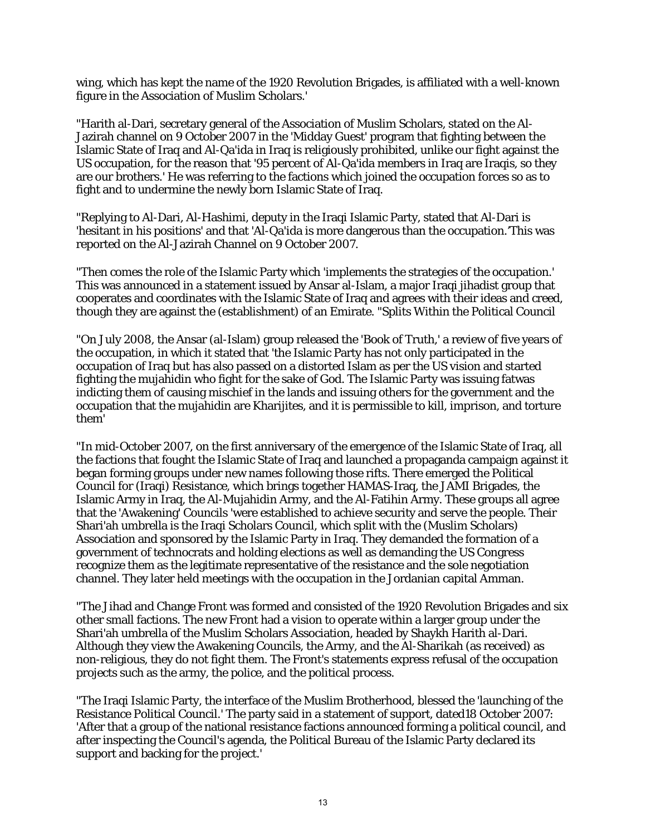wing, which has kept the name of the 1920 Revolution Brigades, is affiliated with a well-known figure in the Association of Muslim Scholars.'

"Harith al-Dari, secretary general of the Association of Muslim Scholars, stated on the Al-Jazirah channel on 9 October 2007 in the 'Midday Guest' program that fighting between the Islamic State of Iraq and Al-Qa'ida in Iraq is religiously prohibited, unlike our fight against the US occupation, for the reason that '95 percent of Al-Qa'ida members in Iraq are Iraqis, so they are our brothers.' He was referring to the factions which joined the occupation forces so as to fight and to undermine the newly born Islamic State of Iraq.

"Replying to Al-Dari, Al-Hashimi, deputy in the Iraqi Islamic Party, stated that Al-Dari is 'hesitant in his positions' and that 'Al-Qa'ida is more dangerous than the occupation.'This was reported on the Al-Jazirah Channel on 9 October 2007.

"Then comes the role of the Islamic Party which 'implements the strategies of the occupation.' This was announced in a statement issued by Ansar al-Islam, a major Iraqi jihadist group that cooperates and coordinates with the Islamic State of Iraq and agrees with their ideas and creed, though they are against the (establishment) of an Emirate. "Splits Within the Political Council

"On July 2008, the Ansar (al-Islam) group released the 'Book of Truth,' a review of five years of the occupation, in which it stated that 'the Islamic Party has not only participated in the occupation of Iraq but has also passed on a distorted Islam as per the US vision and started fighting the mujahidin who fight for the sake of God. The Islamic Party was issuing fatwas indicting them of causing mischief in the lands and issuing others for the government and the occupation that the mujahidin are Kharijites, and it is permissible to kill, imprison, and torture them'

"In mid-October 2007, on the first anniversary of the emergence of the Islamic State of Iraq, all the factions that fought the Islamic State of Iraq and launched a propaganda campaign against it began forming groups under new names following those rifts. There emerged the Political Council for (Iraqi) Resistance, which brings together HAMAS-Iraq, the JAMI Brigades, the Islamic Army in Iraq, the Al-Mujahidin Army, and the Al-Fatihin Army. These groups all agree that the 'Awakening' Councils 'were established to achieve security and serve the people. Their Shari'ah umbrella is the Iraqi Scholars Council, which split with the (Muslim Scholars) Association and sponsored by the Islamic Party in Iraq. They demanded the formation of a government of technocrats and holding elections as well as demanding the US Congress recognize them as the legitimate representative of the resistance and the sole negotiation channel. They later held meetings with the occupation in the Jordanian capital Amman.

"The Jihad and Change Front was formed and consisted of the 1920 Revolution Brigades and six other small factions. The new Front had a vision to operate within a larger group under the Shari'ah umbrella of the Muslim Scholars Association, headed by Shaykh Harith al-Dari. Although they view the Awakening Councils, the Army, and the Al-Sharikah (as received) as non-religious, they do not fight them. The Front's statements express refusal of the occupation projects such as the army, the police, and the political process.

"The Iraqi Islamic Party, the interface of the Muslim Brotherhood, blessed the 'launching of the Resistance Political Council.' The party said in a statement of support, dated18 October 2007: 'After that a group of the national resistance factions announced forming a political council, and after inspecting the Council's agenda, the Political Bureau of the Islamic Party declared its support and backing for the project.'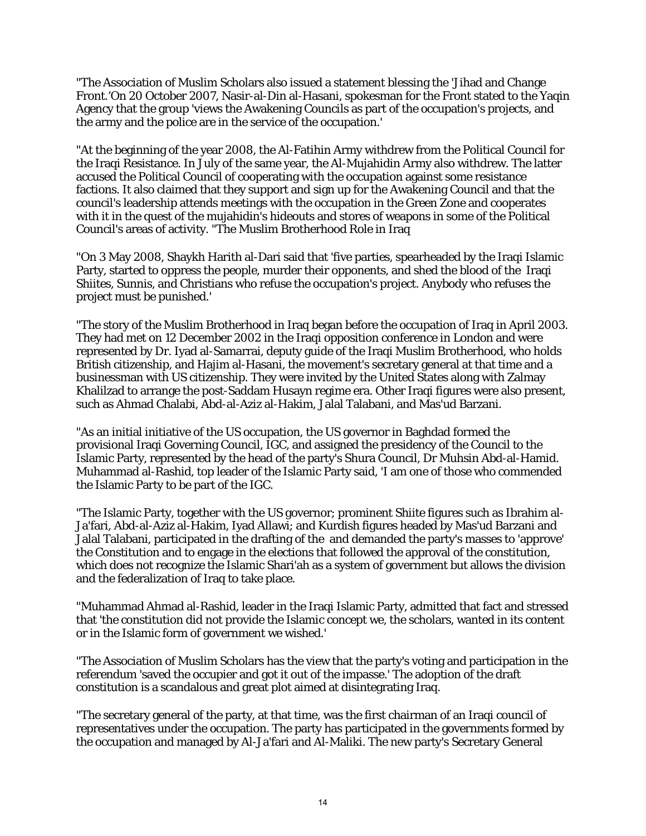"The Association of Muslim Scholars also issued a statement blessing the 'Jihad and Change Front.'On 20 October 2007, Nasir-al-Din al-Hasani, spokesman for the Front stated to the Yaqin Agency that the group 'views the Awakening Councils as part of the occupation's projects, and the army and the police are in the service of the occupation.'

"At the beginning of the year 2008, the Al-Fatihin Army withdrew from the Political Council for the Iraqi Resistance. In July of the same year, the Al-Mujahidin Army also withdrew. The latter accused the Political Council of cooperating with the occupation against some resistance factions. It also claimed that they support and sign up for the Awakening Council and that the council's leadership attends meetings with the occupation in the Green Zone and cooperates with it in the quest of the mujahidin's hideouts and stores of weapons in some of the Political Council's areas of activity. "The Muslim Brotherhood Role in Iraq

"On 3 May 2008, Shaykh Harith al-Dari said that 'five parties, spearheaded by the Iraqi Islamic Party, started to oppress the people, murder their opponents, and shed the blood of the Iraqi Shiites, Sunnis, and Christians who refuse the occupation's project. Anybody who refuses the project must be punished.'

"The story of the Muslim Brotherhood in Iraq began before the occupation of Iraq in April 2003. They had met on 12 December 2002 in the Iraqi opposition conference in London and were represented by Dr. Iyad al-Samarrai, deputy guide of the Iraqi Muslim Brotherhood, who holds British citizenship, and Hajim al-Hasani, the movement's secretary general at that time and a businessman with US citizenship. They were invited by the United States along with Zalmay Khalilzad to arrange the post-Saddam Husayn regime era. Other Iraqi figures were also present, such as Ahmad Chalabi, Abd-al-Aziz al-Hakim, Jalal Talabani, and Mas'ud Barzani.

"As an initial initiative of the US occupation, the US governor in Baghdad formed the provisional Iraqi Governing Council, IGC, and assigned the presidency of the Council to the Islamic Party, represented by the head of the party's Shura Council, Dr Muhsin Abd-al-Hamid. Muhammad al-Rashid, top leader of the Islamic Party said, 'I am one of those who commended the Islamic Party to be part of the IGC.

"The Islamic Party, together with the US governor; prominent Shiite figures such as Ibrahim al-Ja'fari, Abd-al-Aziz al-Hakim, Iyad Allawi; and Kurdish figures headed by Mas'ud Barzani and Jalal Talabani, participated in the drafting of the and demanded the party's masses to 'approve' the Constitution and to engage in the elections that followed the approval of the constitution, which does not recognize the Islamic Shari'ah as a system of government but allows the division and the federalization of Iraq to take place.

"Muhammad Ahmad al-Rashid, leader in the Iraqi Islamic Party, admitted that fact and stressed that 'the constitution did not provide the Islamic concept we, the scholars, wanted in its content or in the Islamic form of government we wished.'

"The Association of Muslim Scholars has the view that the party's voting and participation in the referendum 'saved the occupier and got it out of the impasse.' The adoption of the draft constitution is a scandalous and great plot aimed at disintegrating Iraq.

"The secretary general of the party, at that time, was the first chairman of an Iraqi council of representatives under the occupation. The party has participated in the governments formed by the occupation and managed by Al-Ja'fari and Al-Maliki. The new party's Secretary General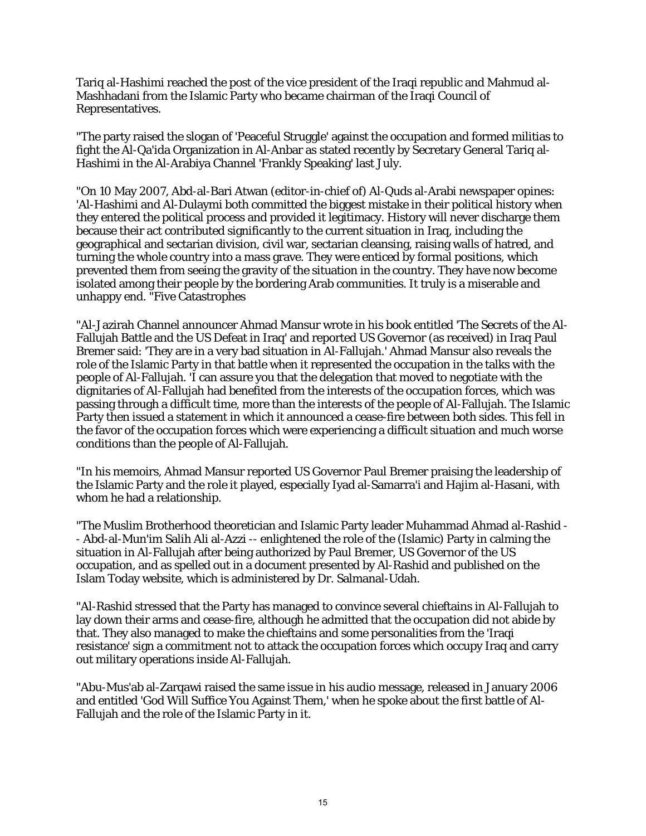Tariq al-Hashimi reached the post of the vice president of the Iraqi republic and Mahmud al-Mashhadani from the Islamic Party who became chairman of the Iraqi Council of Representatives.

"The party raised the slogan of 'Peaceful Struggle' against the occupation and formed militias to fight the Al-Qa'ida Organization in Al-Anbar as stated recently by Secretary General Tariq al-Hashimi in the Al-Arabiya Channel 'Frankly Speaking' last July.

"On 10 May 2007, Abd-al-Bari Atwan (editor-in-chief of) Al-Quds al-Arabi newspaper opines: 'Al-Hashimi and Al-Dulaymi both committed the biggest mistake in their political history when they entered the political process and provided it legitimacy. History will never discharge them because their act contributed significantly to the current situation in Iraq, including the geographical and sectarian division, civil war, sectarian cleansing, raising walls of hatred, and turning the whole country into a mass grave. They were enticed by formal positions, which prevented them from seeing the gravity of the situation in the country. They have now become isolated among their people by the bordering Arab communities. It truly is a miserable and unhappy end. "Five Catastrophes

"Al-Jazirah Channel announcer Ahmad Mansur wrote in his book entitled 'The Secrets of the Al-Fallujah Battle and the US Defeat in Iraq' and reported US Governor (as received) in Iraq Paul Bremer said: 'They are in a very bad situation in Al-Fallujah.' Ahmad Mansur also reveals the role of the Islamic Party in that battle when it represented the occupation in the talks with the people of Al-Fallujah. 'I can assure you that the delegation that moved to negotiate with the dignitaries of Al-Fallujah had benefited from the interests of the occupation forces, which was passing through a difficult time, more than the interests of the people of Al-Fallujah. The Islamic Party then issued a statement in which it announced a cease-fire between both sides. This fell in the favor of the occupation forces which were experiencing a difficult situation and much worse conditions than the people of Al-Fallujah.

"In his memoirs, Ahmad Mansur reported US Governor Paul Bremer praising the leadership of the Islamic Party and the role it played, especially Iyad al-Samarra'i and Hajim al-Hasani, with whom he had a relationship.

"The Muslim Brotherhood theoretician and Islamic Party leader Muhammad Ahmad al-Rashid - - Abd-al-Mun'im Salih Ali al-Azzi -- enlightened the role of the (Islamic) Party in calming the situation in Al-Fallujah after being authorized by Paul Bremer, US Governor of the US occupation, and as spelled out in a document presented by Al-Rashid and published on the Islam Today website, which is administered by Dr. Salmanal-Udah.

"Al-Rashid stressed that the Party has managed to convince several chieftains in Al-Fallujah to lay down their arms and cease-fire, although he admitted that the occupation did not abide by that. They also managed to make the chieftains and some personalities from the 'Iraqi resistance' sign a commitment not to attack the occupation forces which occupy Iraq and carry out military operations inside Al-Fallujah.

"Abu-Mus'ab al-Zarqawi raised the same issue in his audio message, released in January 2006 and entitled 'God Will Suffice You Against Them,' when he spoke about the first battle of Al-Fallujah and the role of the Islamic Party in it.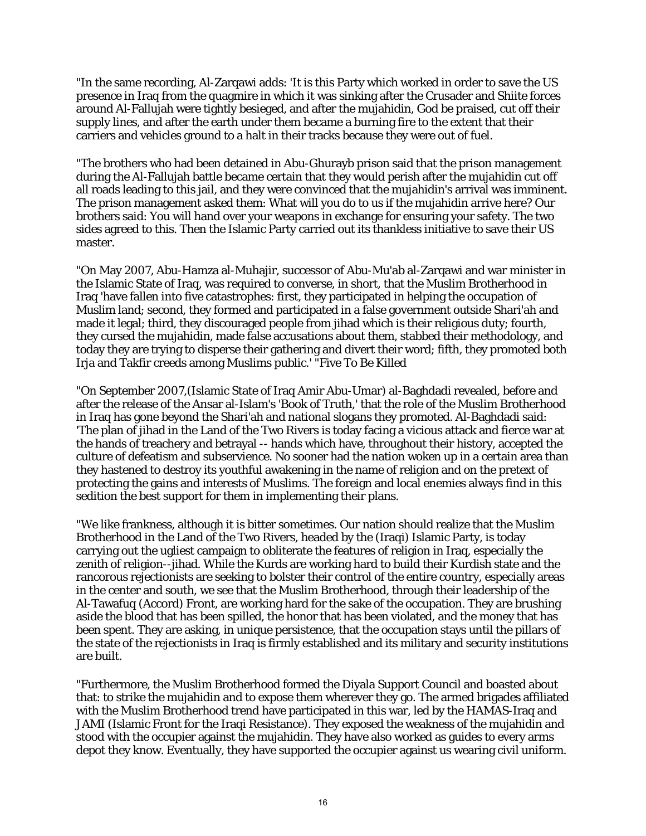"In the same recording, Al-Zarqawi adds: 'It is this Party which worked in order to save the US presence in Iraq from the quagmire in which it was sinking after the Crusader and Shiite forces around Al-Fallujah were tightly besieged, and after the mujahidin, God be praised, cut off their supply lines, and after the earth under them became a burning fire to the extent that their carriers and vehicles ground to a halt in their tracks because they were out of fuel.

"The brothers who had been detained in Abu-Ghurayb prison said that the prison management during the Al-Fallujah battle became certain that they would perish after the mujahidin cut off all roads leading to this jail, and they were convinced that the mujahidin's arrival was imminent. The prison management asked them: What will you do to us if the mujahidin arrive here? Our brothers said: You will hand over your weapons in exchange for ensuring your safety. The two sides agreed to this. Then the Islamic Party carried out its thankless initiative to save their US master.

"On May 2007, Abu-Hamza al-Muhajir, successor of Abu-Mu'ab al-Zarqawi and war minister in the Islamic State of Iraq, was required to converse, in short, that the Muslim Brotherhood in Iraq 'have fallen into five catastrophes: first, they participated in helping the occupation of Muslim land; second, they formed and participated in a false government outside Shari'ah and made it legal; third, they discouraged people from jihad which is their religious duty; fourth, they cursed the mujahidin, made false accusations about them, stabbed their methodology, and today they are trying to disperse their gathering and divert their word; fifth, they promoted both Irja and Takfir creeds among Muslims public.' "Five To Be Killed

"On September 2007,(Islamic State of Iraq Amir Abu-Umar) al-Baghdadi revealed, before and after the release of the Ansar al-Islam's 'Book of Truth,' that the role of the Muslim Brotherhood in Iraq has gone beyond the Shari'ah and national slogans they promoted. Al-Baghdadi said: 'The plan of jihad in the Land of the Two Rivers is today facing a vicious attack and fierce war at the hands of treachery and betrayal -- hands which have, throughout their history, accepted the culture of defeatism and subservience. No sooner had the nation woken up in a certain area than they hastened to destroy its youthful awakening in the name of religion and on the pretext of protecting the gains and interests of Muslims. The foreign and local enemies always find in this sedition the best support for them in implementing their plans.

"We like frankness, although it is bitter sometimes. Our nation should realize that the Muslim Brotherhood in the Land of the Two Rivers, headed by the (Iraqi) Islamic Party, is today carrying out the ugliest campaign to obliterate the features of religion in Iraq, especially the zenith of religion--jihad. While the Kurds are working hard to build their Kurdish state and the rancorous rejectionists are seeking to bolster their control of the entire country, especially areas in the center and south, we see that the Muslim Brotherhood, through their leadership of the Al-Tawafuq (Accord) Front, are working hard for the sake of the occupation. They are brushing aside the blood that has been spilled, the honor that has been violated, and the money that has been spent. They are asking, in unique persistence, that the occupation stays until the pillars of the state of the rejectionists in Iraq is firmly established and its military and security institutions are built.

"Furthermore, the Muslim Brotherhood formed the Diyala Support Council and boasted about that: to strike the mujahidin and to expose them wherever they go. The armed brigades affiliated with the Muslim Brotherhood trend have participated in this war, led by the HAMAS-Iraq and JAMI (Islamic Front for the Iraqi Resistance). They exposed the weakness of the mujahidin and stood with the occupier against the mujahidin. They have also worked as guides to every arms depot they know. Eventually, they have supported the occupier against us wearing civil uniform.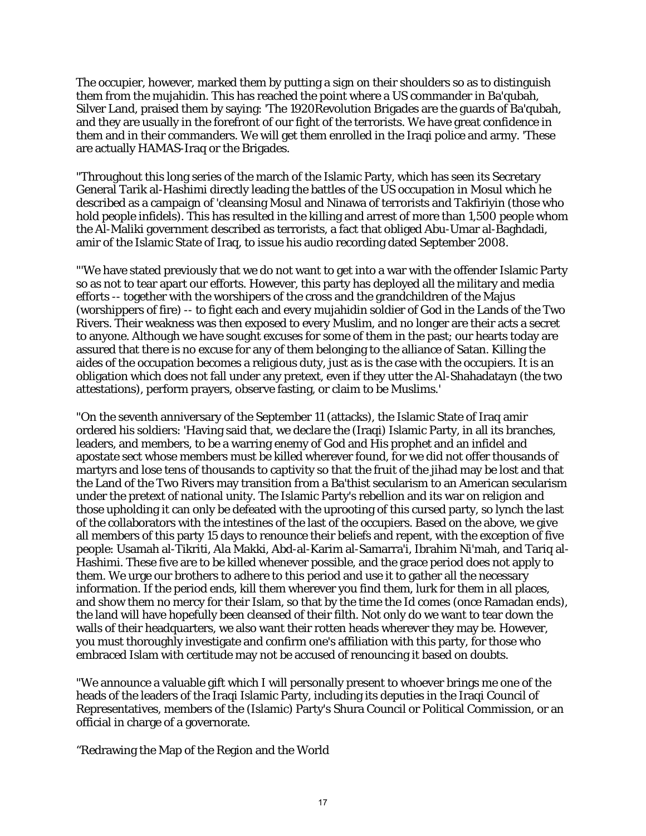The occupier, however, marked them by putting a sign on their shoulders so as to distinguish them from the mujahidin. This has reached the point where a US commander in Ba'qubah, Silver Land, praised them by saying: 'The 1920Revolution Brigades are the guards of Ba'qubah, and they are usually in the forefront of our fight of the terrorists. We have great confidence in them and in their commanders. We will get them enrolled in the Iraqi police and army. 'These are actually HAMAS-Iraq or the Brigades.

"Throughout this long series of the march of the Islamic Party, which has seen its Secretary General Tarik al-Hashimi directly leading the battles of the US occupation in Mosul which he described as a campaign of 'cleansing Mosul and Ninawa of terrorists and Takfiriyin (those who hold people infidels). This has resulted in the killing and arrest of more than 1,500 people whom the Al-Maliki government described as terrorists, a fact that obliged Abu-Umar al-Baghdadi, amir of the Islamic State of Iraq, to issue his audio recording dated September 2008.

"'We have stated previously that we do not want to get into a war with the offender Islamic Party so as not to tear apart our efforts. However, this party has deployed all the military and media efforts -- together with the worshipers of the cross and the grandchildren of the Majus (worshippers of fire) -- to fight each and every mujahidin soldier of God in the Lands of the Two Rivers. Their weakness was then exposed to every Muslim, and no longer are their acts a secret to anyone. Although we have sought excuses for some of them in the past; our hearts today are assured that there is no excuse for any of them belonging to the alliance of Satan. Killing the aides of the occupation becomes a religious duty, just as is the case with the occupiers. It is an obligation which does not fall under any pretext, even if they utter the Al-Shahadatayn (the two attestations), perform prayers, observe fasting, or claim to be Muslims.'

"On the seventh anniversary of the September 11 (attacks), the Islamic State of Iraq amir ordered his soldiers: 'Having said that, we declare the (Iraqi) Islamic Party, in all its branches, leaders, and members, to be a warring enemy of God and His prophet and an infidel and apostate sect whose members must be killed wherever found, for we did not offer thousands of martyrs and lose tens of thousands to captivity so that the fruit of the jihad may be lost and that the Land of the Two Rivers may transition from a Ba'thist secularism to an American secularism under the pretext of national unity. The Islamic Party's rebellion and its war on religion and those upholding it can only be defeated with the uprooting of this cursed party, so lynch the last of the collaborators with the intestines of the last of the occupiers. Based on the above, we give all members of this party 15 days to renounce their beliefs and repent, with the exception of five people: Usamah al-Tikriti, Ala Makki, Abd-al-Karim al-Samarra'i, Ibrahim Ni'mah, and Tariq al-Hashimi. These five are to be killed whenever possible, and the grace period does not apply to them. We urge our brothers to adhere to this period and use it to gather all the necessary information. If the period ends, kill them wherever you find them, lurk for them in all places, and show them no mercy for their Islam, so that by the time the Id comes (once Ramadan ends), the land will have hopefully been cleansed of their filth. Not only do we want to tear down the walls of their headquarters, we also want their rotten heads wherever they may be. However, you must thoroughly investigate and confirm one's affiliation with this party, for those who embraced Islam with certitude may not be accused of renouncing it based on doubts.

"We announce a valuable gift which I will personally present to whoever brings me one of the heads of the leaders of the Iraqi Islamic Party, including its deputies in the Iraqi Council of Representatives, members of the (Islamic) Party's Shura Council or Political Commission, or an official in charge of a governorate.

"Redrawing the Map of the Region and the World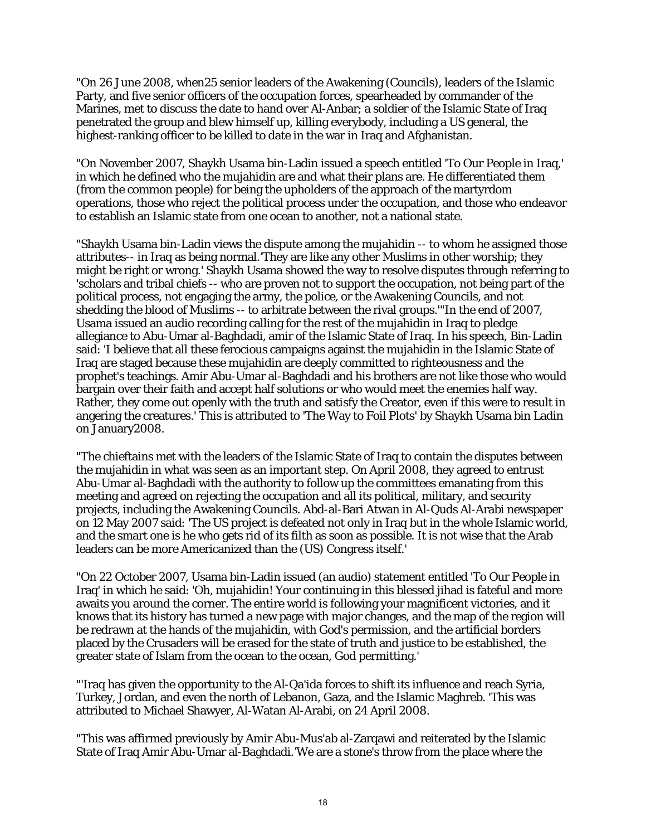"On 26 June 2008, when25 senior leaders of the Awakening (Councils), leaders of the Islamic Party, and five senior officers of the occupation forces, spearheaded by commander of the Marines, met to discuss the date to hand over Al-Anbar; a soldier of the Islamic State of Iraq penetrated the group and blew himself up, killing everybody, including a US general, the highest-ranking officer to be killed to date in the war in Iraq and Afghanistan.

"On November 2007, Shaykh Usama bin-Ladin issued a speech entitled 'To Our People in Iraq,' in which he defined who the mujahidin are and what their plans are. He differentiated them (from the common people) for being the upholders of the approach of the martyrdom operations, those who reject the political process under the occupation, and those who endeavor to establish an Islamic state from one ocean to another, not a national state.

"Shaykh Usama bin-Ladin views the dispute among the mujahidin -- to whom he assigned those attributes-- in Iraq as being normal.'They are like any other Muslims in other worship; they might be right or wrong.' Shaykh Usama showed the way to resolve disputes through referring to 'scholars and tribal chiefs -- who are proven not to support the occupation, not being part of the political process, not engaging the army, the police, or the Awakening Councils, and not shedding the blood of Muslims -- to arbitrate between the rival groups.'"In the end of 2007, Usama issued an audio recording calling for the rest of the mujahidin in Iraq to pledge allegiance to Abu-Umar al-Baghdadi, amir of the Islamic State of Iraq. In his speech, Bin-Ladin said: 'I believe that all these ferocious campaigns against the mujahidin in the Islamic State of Iraq are staged because these mujahidin are deeply committed to righteousness and the prophet's teachings. Amir Abu-Umar al-Baghdadi and his brothers are not like those who would bargain over their faith and accept half solutions or who would meet the enemies half way. Rather, they come out openly with the truth and satisfy the Creator, even if this were to result in angering the creatures.' This is attributed to 'The Way to Foil Plots' by Shaykh Usama bin Ladin on January2008.

"The chieftains met with the leaders of the Islamic State of Iraq to contain the disputes between the mujahidin in what was seen as an important step. On April 2008, they agreed to entrust Abu-Umar al-Baghdadi with the authority to follow up the committees emanating from this meeting and agreed on rejecting the occupation and all its political, military, and security projects, including the Awakening Councils. Abd-al-Bari Atwan in Al-Quds Al-Arabi newspaper on 12 May 2007 said: 'The US project is defeated not only in Iraq but in the whole Islamic world, and the smart one is he who gets rid of its filth as soon as possible. It is not wise that the Arab leaders can be more Americanized than the (US) Congress itself.'

"On 22 October 2007, Usama bin-Ladin issued (an audio) statement entitled 'To Our People in Iraq' in which he said: 'Oh, mujahidin! Your continuing in this blessed jihad is fateful and more awaits you around the corner. The entire world is following your magnificent victories, and it knows that its history has turned a new page with major changes, and the map of the region will be redrawn at the hands of the mujahidin, with God's permission, and the artificial borders placed by the Crusaders will be erased for the state of truth and justice to be established, the greater state of Islam from the ocean to the ocean, God permitting.'

"'Iraq has given the opportunity to the Al-Qa'ida forces to shift its influence and reach Syria, Turkey, Jordan, and even the north of Lebanon, Gaza, and the Islamic Maghreb. 'This was attributed to Michael Shawyer, Al-Watan Al-Arabi, on 24 April 2008.

"This was affirmed previously by Amir Abu-Mus'ab al-Zarqawi and reiterated by the Islamic State of Iraq Amir Abu-Umar al-Baghdadi.'We are a stone's throw from the place where the